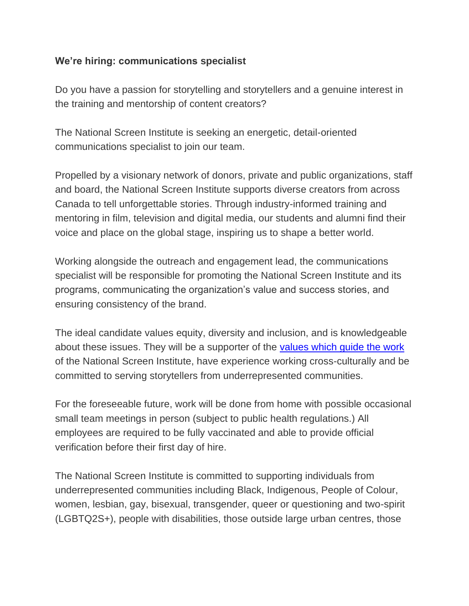### **We're hiring: communications specialist**

Do you have a passion for storytelling and storytellers and a genuine interest in the training and mentorship of content creators?

The National Screen Institute is seeking an energetic, detail-oriented communications specialist to join our team.

Propelled by a visionary network of donors, private and public organizations, staff and board, the National Screen Institute supports diverse creators from across Canada to tell unforgettable stories. Through industry-informed training and mentoring in film, television and digital media, our students and alumni find their voice and place on the global stage, inspiring us to shape a better world.

Working alongside the outreach and engagement lead, the communications specialist will be responsible for promoting the National Screen Institute and its programs, communicating the organization's value and success stories, and ensuring consistency of the brand.

The ideal candidate values equity, diversity and inclusion, and is knowledgeable about these issues. They will be a supporter of the [values which guide the work](https://nsi-canada.ca/about/) of the National Screen Institute, have experience working cross-culturally and be committed to serving storytellers from underrepresented communities.

For the foreseeable future, work will be done from home with possible occasional small team meetings in person (subject to public health regulations.) All employees are required to be fully vaccinated and able to provide official verification before their first day of hire.

The National Screen Institute is committed to supporting individuals from underrepresented communities including Black, Indigenous, People of Colour, women, lesbian, gay, bisexual, transgender, queer or questioning and two-spirit (LGBTQ2S+), people with disabilities, those outside large urban centres, those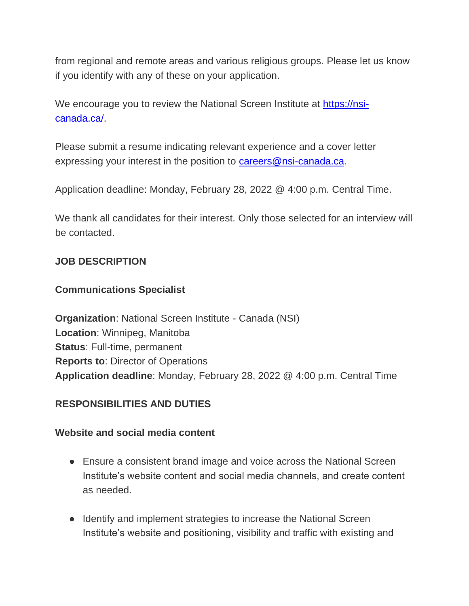from regional and remote areas and various religious groups. Please let us know if you identify with any of these on your application.

We encourage you to review the National Screen Institute at [https://nsi](https://nsi-canada.ca/)[canada.ca/.](https://nsi-canada.ca/)

Please submit a resume indicating relevant experience and a cover letter expressing your interest in the position to [careers@nsi-canada.ca.](mailto:careers@nsi-canada.ca)

Application deadline: Monday, February 28, 2022 @ 4:00 p.m. Central Time.

We thank all candidates for their interest. Only those selected for an interview will be contacted.

## **JOB DESCRIPTION**

# **Communications Specialist**

**Organization**: National Screen Institute - Canada (NSI) **Location**: Winnipeg, Manitoba **Status**: Full-time, permanent **Reports to**: Director of Operations **Application deadline**: Monday, February 28, 2022 @ 4:00 p.m. Central Time

# **RESPONSIBILITIES AND DUTIES**

#### **Website and social media content**

- Ensure a consistent brand image and voice across the National Screen Institute's website content and social media channels, and create content as needed.
- Identify and implement strategies to increase the National Screen Institute's website and positioning, visibility and traffic with existing and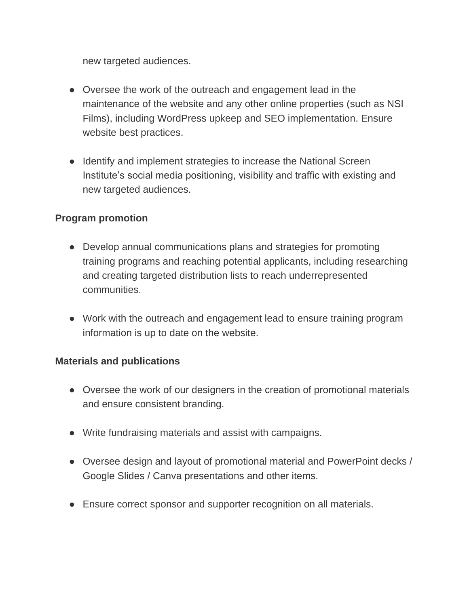new targeted audiences.

- Oversee the work of the outreach and engagement lead in the maintenance of the website and any other online properties (such as NSI Films), including WordPress upkeep and SEO implementation. Ensure website best practices.
- Identify and implement strategies to increase the National Screen Institute's social media positioning, visibility and traffic with existing and new targeted audiences.

## **Program promotion**

- Develop annual communications plans and strategies for promoting training programs and reaching potential applicants, including researching and creating targeted distribution lists to reach underrepresented communities.
- Work with the outreach and engagement lead to ensure training program information is up to date on the website.

#### **Materials and publications**

- Oversee the work of our designers in the creation of promotional materials and ensure consistent branding.
- Write fundraising materials and assist with campaigns.
- Oversee design and layout of promotional material and PowerPoint decks / Google Slides / Canva presentations and other items.
- Ensure correct sponsor and supporter recognition on all materials.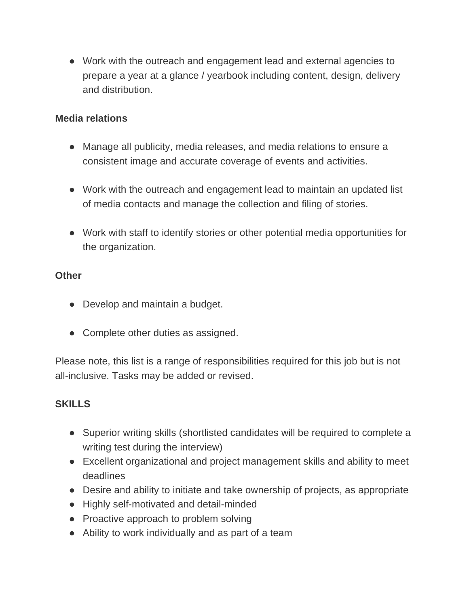● Work with the outreach and engagement lead and external agencies to prepare a year at a glance / yearbook including content, design, delivery and distribution.

### **Media relations**

- Manage all publicity, media releases, and media relations to ensure a consistent image and accurate coverage of events and activities.
- Work with the outreach and engagement lead to maintain an updated list of media contacts and manage the collection and filing of stories.
- Work with staff to identify stories or other potential media opportunities for the organization.

## **Other**

- Develop and maintain a budget.
- Complete other duties as assigned.

Please note, this list is a range of responsibilities required for this job but is not all-inclusive. Tasks may be added or revised.

# **SKILLS**

- Superior writing skills (shortlisted candidates will be required to complete a writing test during the interview)
- Excellent organizational and project management skills and ability to meet deadlines
- Desire and ability to initiate and take ownership of projects, as appropriate
- Highly self-motivated and detail-minded
- Proactive approach to problem solving
- Ability to work individually and as part of a team